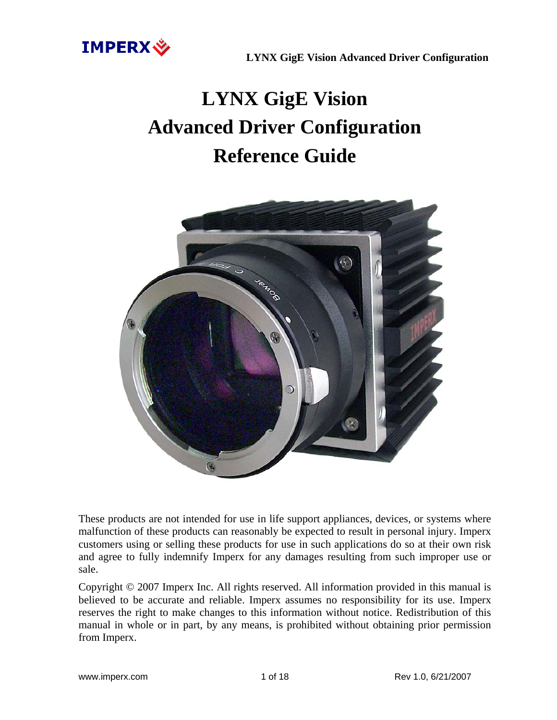

# **LYNX GigE Vision Advanced Driver Configuration Reference Guide**



These products are not intended for use in life support appliances, devices, or systems where malfunction of these products can reasonably be expected to result in personal injury. Imperx customers using or selling these products for use in such applications do so at their own risk and agree to fully indemnify Imperx for any damages resulting from such improper use or sale.

Copyright © 2007 Imperx Inc. All rights reserved. All information provided in this manual is believed to be accurate and reliable. Imperx assumes no responsibility for its use. Imperx reserves the right to make changes to this information without notice. Redistribution of this manual in whole or in part, by any means, is prohibited without obtaining prior permission from Imperx.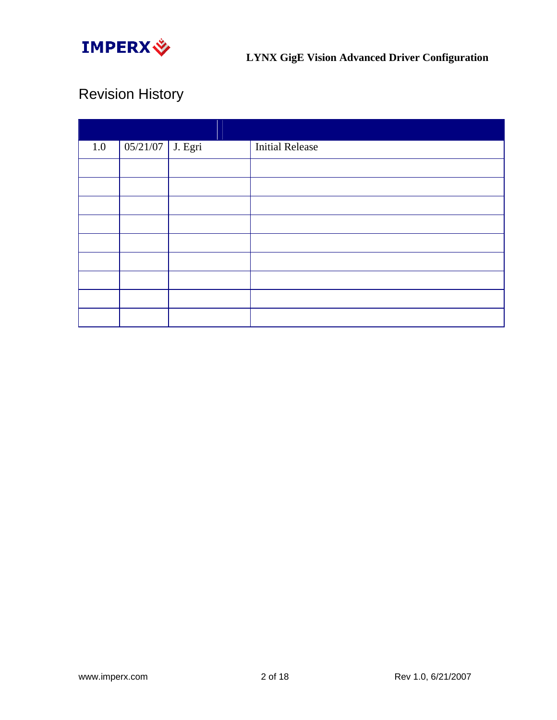

## Revision History

| 1.0 | 05/21/07 J. Egri | <b>Initial Release</b> |
|-----|------------------|------------------------|
|     |                  |                        |
|     |                  |                        |
|     |                  |                        |
|     |                  |                        |
|     |                  |                        |
|     |                  |                        |
|     |                  |                        |
|     |                  |                        |
|     |                  |                        |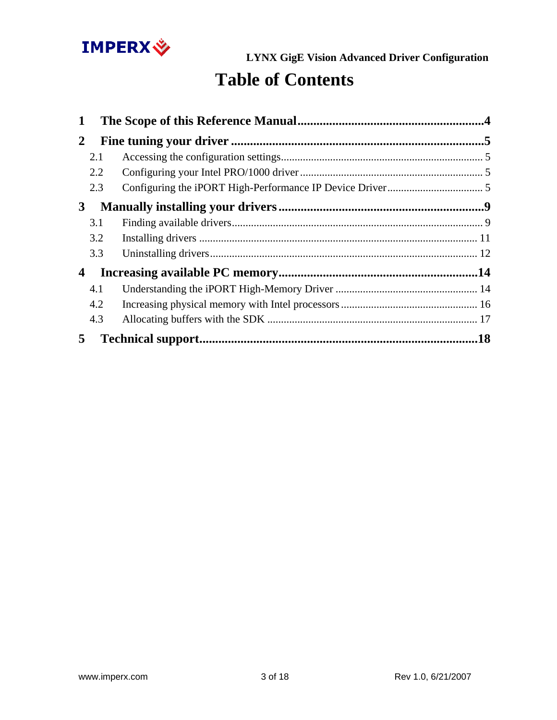

## **Table of Contents**

| 1            |     |  |  |
|--------------|-----|--|--|
| 2            |     |  |  |
|              | 2.1 |  |  |
|              | 2.2 |  |  |
|              | 2.3 |  |  |
| $\mathbf{3}$ |     |  |  |
|              | 3.1 |  |  |
|              | 3.2 |  |  |
|              | 3.3 |  |  |
| 4            |     |  |  |
|              | 4.1 |  |  |
|              | 4.2 |  |  |
|              | 4.3 |  |  |
| 5            |     |  |  |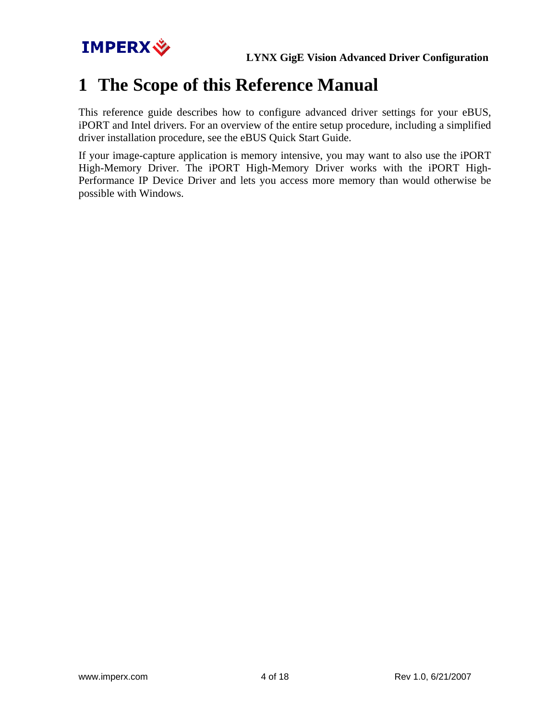<span id="page-3-0"></span>

# **1 The Scope of this Reference Manual**

This reference guide describes how to configure advanced driver settings for your eBUS, iPORT and Intel drivers. For an overview of the entire setup procedure, including a simplified driver installation procedure, see the eBUS Quick Start Guide.

If your image-capture application is memory intensive, you may want to also use the iPORT High-Memory Driver. The iPORT High-Memory Driver works with the iPORT High-Performance IP Device Driver and lets you access more memory than would otherwise be possible with Windows.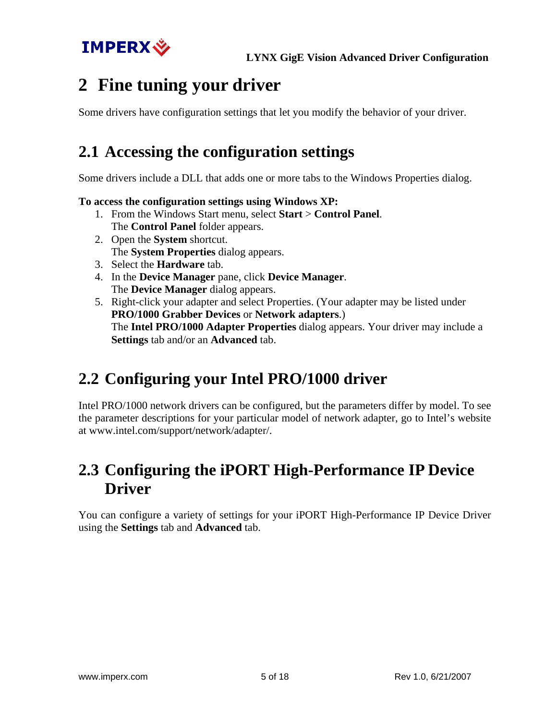# <span id="page-4-0"></span>**2 Fine tuning your driver**

Some drivers have configuration settings that let you modify the behavior of your driver.

## **2.1 Accessing the configuration settings**

Some drivers include a DLL that adds one or more tabs to the Windows Properties dialog.

#### **To access the configuration settings using Windows XP:**

- 1. From the Windows Start menu, select **Start** > **Control Panel**. The **Control Panel** folder appears.
- 2. Open the **System** shortcut. The **System Properties** dialog appears.
- 3. Select the **Hardware** tab.
- 4. In the **Device Manager** pane, click **Device Manager**. The **Device Manager** dialog appears.
- 5. Right-click your adapter and select Properties. (Your adapter may be listed under **PRO/1000 Grabber Devices** or **Network adapters**.) The **Intel PRO/1000 Adapter Properties** dialog appears. Your driver may include a **Settings** tab and/or an **Advanced** tab.

## **2.2 Configuring your Intel PRO/1000 driver**

Intel PRO/1000 network drivers can be configured, but the parameters differ by model. To see the parameter descriptions for your particular model of network adapter, go to Intel's website at www.intel.com/support/network/adapter/.

## **2.3 Configuring the iPORT High-Performance IP Device Driver**

You can configure a variety of settings for your iPORT High-Performance IP Device Driver using the **Settings** tab and **Advanced** tab.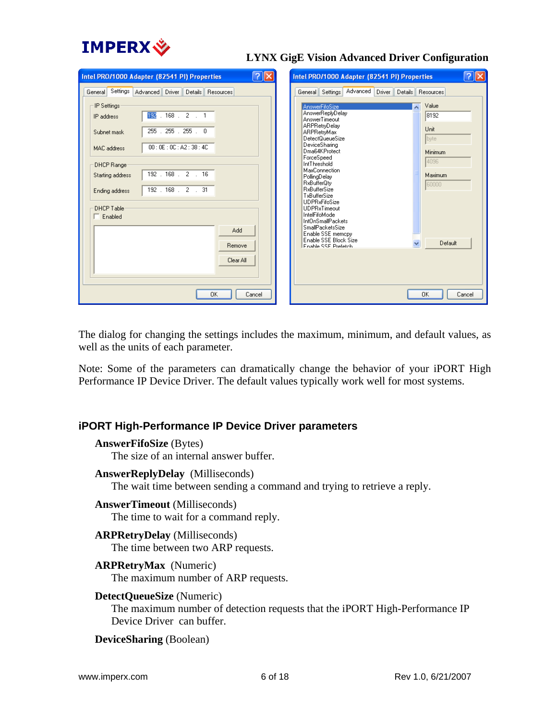

| ?<br>Intel PRO/1000 Adapter (82541 PI) Properties<br>1X)                                                                                                                                                                                                                                      | Intel PRO/1000 Adapter (82541 PI) Properties                                                                                                                                                                                                                                                                                                                                                                                                                                                                                                                                                                 |
|-----------------------------------------------------------------------------------------------------------------------------------------------------------------------------------------------------------------------------------------------------------------------------------------------|--------------------------------------------------------------------------------------------------------------------------------------------------------------------------------------------------------------------------------------------------------------------------------------------------------------------------------------------------------------------------------------------------------------------------------------------------------------------------------------------------------------------------------------------------------------------------------------------------------------|
| Settings                                                                                                                                                                                                                                                                                      | Advanced                                                                                                                                                                                                                                                                                                                                                                                                                                                                                                                                                                                                     |
| Advanced Driver                                                                                                                                                                                                                                                                               | General Settings                                                                                                                                                                                                                                                                                                                                                                                                                                                                                                                                                                                             |
| Details Resources                                                                                                                                                                                                                                                                             | Driver                                                                                                                                                                                                                                                                                                                                                                                                                                                                                                                                                                                                       |
| General                                                                                                                                                                                                                                                                                       | Details   Resources                                                                                                                                                                                                                                                                                                                                                                                                                                                                                                                                                                                          |
| IP Settings<br>$.168$ $.2$ $.1$<br>192<br>IP address<br>255 . 255 . 255 . 0<br>Subnet mask<br>00:0E:0C:AA2:38:4C<br>MAC address<br>DHCP Range<br>192 . 168 . 2 . 16<br>Starting address<br>192 . 168 . 2 . 31<br>Ending address<br>DHCP Table<br>$\Box$ Enabled<br>Add<br>Remove<br>Clear All | Value<br>AnswerFifoSize<br>$\overline{\mathbf{v}}$<br>AnswerReplyDelay<br>8192<br>AnswerTimeout<br>ARPRetryDelay<br>Unit<br><b>ARPRetryMax</b><br><b>DetectQueueSize</b><br>byte<br>DeviceSharing<br>Dma64KProtect<br>Minimum<br>ForceSpeed<br>4096<br>IntThreshold<br><b>MaxConnection</b><br>Maximum<br>PollingDelay<br><b>RxBufferQtv</b><br>60000<br><b>RxBufferSize</b><br>TxBufferSize<br><b>UDPRxFifoSize</b><br><b>UDPRxTimeout</b><br>IntelFifoMode<br>IntOnSmallPackets<br><b>SmallPacketsSize</b><br>Enable SSE memopy<br>Enable SSE Block Size<br>$\checkmark$<br>Default<br>Enable SSE Prefetch |
| 0K                                                                                                                                                                                                                                                                                            | 0K                                                                                                                                                                                                                                                                                                                                                                                                                                                                                                                                                                                                           |
| Cancel                                                                                                                                                                                                                                                                                        | Cancel                                                                                                                                                                                                                                                                                                                                                                                                                                                                                                                                                                                                       |

The dialog for changing the settings includes the maximum, minimum, and default values, as well as the units of each parameter.

Note: Some of the parameters can dramatically change the behavior of your iPORT High Performance IP Device Driver. The default values typically work well for most systems.

#### **iPORT High-Performance IP Device Driver parameters**

#### **AnswerFifoSize** (Bytes)

The size of an internal answer buffer.

**AnswerReplyDelay** (Milliseconds)

The wait time between sending a command and trying to retrieve a reply.

**AnswerTimeout** (Milliseconds)

The time to wait for a command reply.

- **ARPRetryDelay** (Milliseconds) The time between two ARP requests.
- **ARPRetryMax** (Numeric)

The maximum number of ARP requests.

#### **DetectQueueSize** (Numeric)

The maximum number of detection requests that the iPORT High-Performance IP Device Driver can buffer.

#### **DeviceSharing** (Boolean)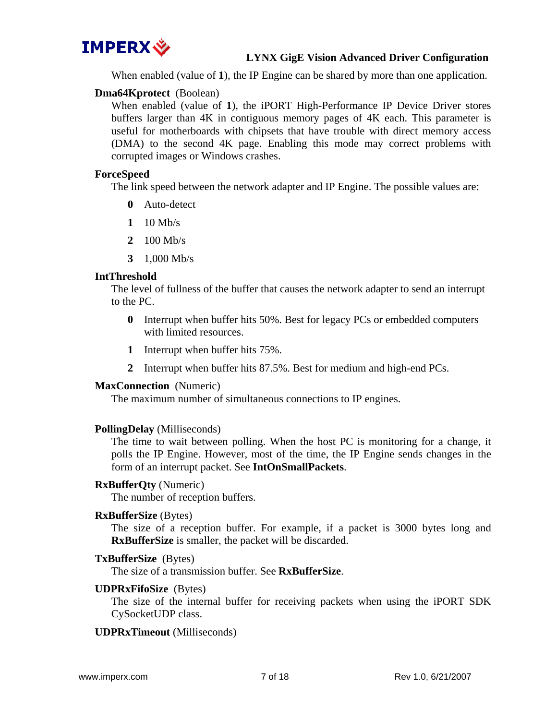

When enabled (value of **1**), the IP Engine can be shared by more than one application.

#### **Dma64Kprotect** (Boolean)

When enabled (value of **1**), the iPORT High-Performance IP Device Driver stores buffers larger than 4K in contiguous memory pages of 4K each. This parameter is useful for motherboards with chipsets that have trouble with direct memory access (DMA) to the second 4K page. Enabling this mode may correct problems with corrupted images or Windows crashes.

#### **ForceSpeed**

The link speed between the network adapter and IP Engine. The possible values are:

- **0** Auto-detect
- **1** 10 Mb/s
- **2** 100 Mb/s
- **3** 1,000 Mb/s

#### **IntThreshold**

The level of fullness of the buffer that causes the network adapter to send an interrupt to the PC.

- **0** Interrupt when buffer hits 50%. Best for legacy PCs or embedded computers with limited resources.
- **1** Interrupt when buffer hits 75%.
- **2** Interrupt when buffer hits 87.5%. Best for medium and high-end PCs.

#### **MaxConnection** (Numeric)

The maximum number of simultaneous connections to IP engines.

#### **PollingDelay** (Milliseconds)

The time to wait between polling. When the host PC is monitoring for a change, it polls the IP Engine. However, most of the time, the IP Engine sends changes in the form of an interrupt packet. See **IntOnSmallPackets**.

#### **RxBufferQty** (Numeric)

The number of reception buffers.

#### **RxBufferSize** (Bytes)

The size of a reception buffer. For example, if a packet is 3000 bytes long and **RxBufferSize** is smaller, the packet will be discarded.

#### **TxBufferSize** (Bytes)

The size of a transmission buffer. See **RxBufferSize**.

#### **UDPRxFifoSize** (Bytes)

The size of the internal buffer for receiving packets when using the iPORT SDK CySocketUDP class.

#### **UDPRxTimeout** (Milliseconds)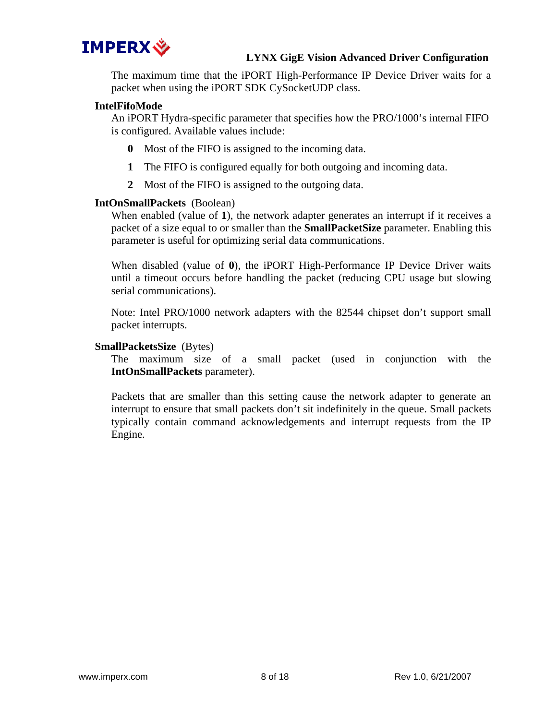

The maximum time that the iPORT High-Performance IP Device Driver waits for a packet when using the iPORT SDK CySocketUDP class.

#### **IntelFifoMode**

An iPORT Hydra-specific parameter that specifies how the PRO/1000's internal FIFO is configured. Available values include:

- **0** Most of the FIFO is assigned to the incoming data.
- **1** The FIFO is configured equally for both outgoing and incoming data.
- **2** Most of the FIFO is assigned to the outgoing data.

#### **IntOnSmallPackets** (Boolean)

When enabled (value of **1**), the network adapter generates an interrupt if it receives a packet of a size equal to or smaller than the **SmallPacketSize** parameter. Enabling this parameter is useful for optimizing serial data communications.

When disabled (value of **0**), the iPORT High-Performance IP Device Driver waits until a timeout occurs before handling the packet (reducing CPU usage but slowing serial communications).

Note: Intel PRO/1000 network adapters with the 82544 chipset don't support small packet interrupts.

#### **SmallPacketsSize** (Bytes)

The maximum size of a small packet (used in conjunction with the **IntOnSmallPackets** parameter).

Packets that are smaller than this setting cause the network adapter to generate an interrupt to ensure that small packets don't sit indefinitely in the queue. Small packets typically contain command acknowledgements and interrupt requests from the IP Engine.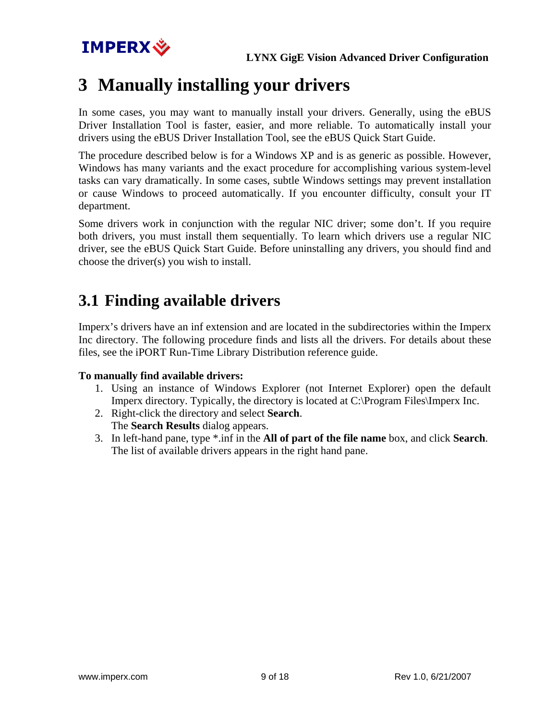<span id="page-8-0"></span>

## **3 Manually installing your drivers**

In some cases, you may want to manually install your drivers. Generally, using the eBUS Driver Installation Tool is faster, easier, and more reliable. To automatically install your drivers using the eBUS Driver Installation Tool, see the eBUS Quick Start Guide.

The procedure described below is for a Windows XP and is as generic as possible. However, Windows has many variants and the exact procedure for accomplishing various system-level tasks can vary dramatically. In some cases, subtle Windows settings may prevent installation or cause Windows to proceed automatically. If you encounter difficulty, consult your IT department.

Some drivers work in conjunction with the regular NIC driver; some don't. If you require both drivers, you must install them sequentially. To learn which drivers use a regular NIC driver, see the eBUS Quick Start Guide. Before uninstalling any drivers, you should find and choose the driver(s) you wish to install.

## **3.1 Finding available drivers**

Imperx's drivers have an inf extension and are located in the subdirectories within the Imperx Inc directory. The following procedure finds and lists all the drivers. For details about these files, see the iPORT Run-Time Library Distribution reference guide.

#### **To manually find available drivers:**

- 1. Using an instance of Windows Explorer (not Internet Explorer) open the default Imperx directory. Typically, the directory is located at C:\Program Files\Imperx Inc.
- 2. Right-click the directory and select **Search**. The **Search Results** dialog appears.
- 3. In left-hand pane, type \*.inf in the **All of part of the file name** box, and click **Search**. The list of available drivers appears in the right hand pane.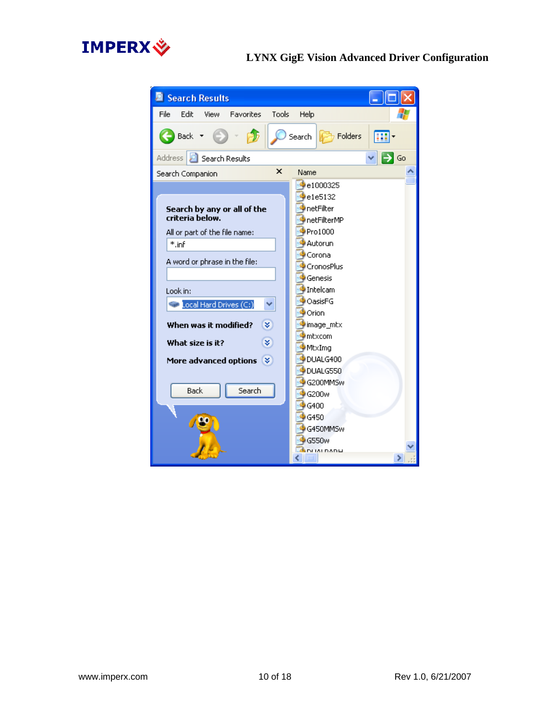

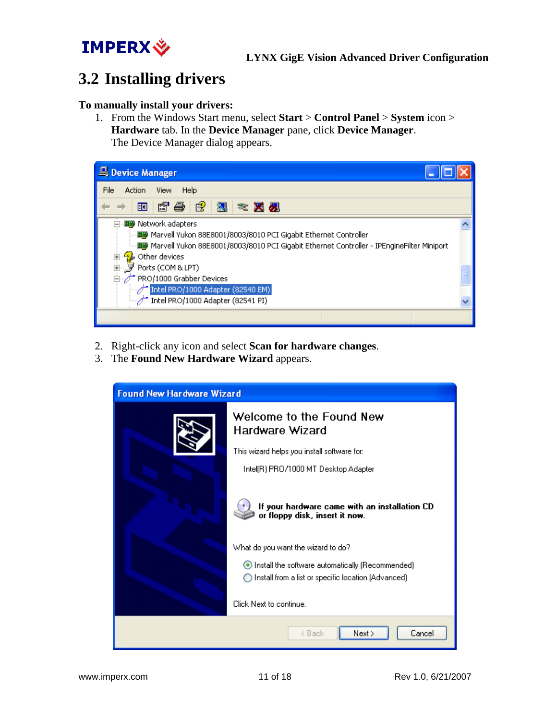<span id="page-10-0"></span>

## **3.2 Installing drivers**

#### **To manually install your drivers:**

1. From the Windows Start menu, select **Start** > **Control Panel** > **System** icon > **Hardware** tab. In the **Device Manager** pane, click **Device Manager**. The Device Manager dialog appears.

| Device Manager                                                                                |  |  |  |
|-----------------------------------------------------------------------------------------------|--|--|--|
| File<br>Help<br><b>View</b><br><b>Action</b>                                                  |  |  |  |
| 6 6 6 3<br><b>≈ X &amp;</b><br>胢                                                              |  |  |  |
| · 田野 Network adapters                                                                         |  |  |  |
| <b>圖學</b> Marvell Yukon 88E8001/8003/8010 PCI Gigabit Ethernet Controller                     |  |  |  |
| -噩譽 Marvell Yukon 88E8001/8003/8010 PCI Gigabit Ethernet Controller - IPEngineFilter Miniport |  |  |  |
| Other devices                                                                                 |  |  |  |
| Ports (COM & LPT)                                                                             |  |  |  |
| PRO/1000 Grabber Devices                                                                      |  |  |  |
| Intel PRO/1000 Adapter (82540 EM)                                                             |  |  |  |
| Intel PRO/1000 Adapter (82541 PI)                                                             |  |  |  |
|                                                                                               |  |  |  |

- 2. Right-click any icon and select **Scan for hardware changes**.
- 3. The **Found New Hardware Wizard** appears.

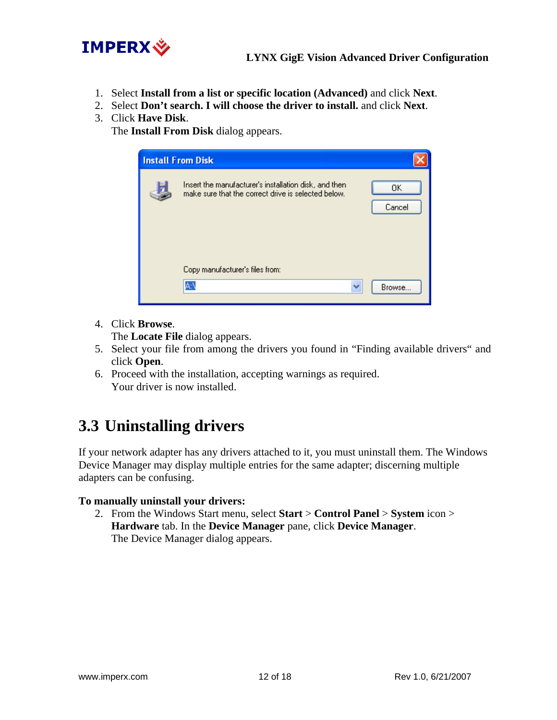<span id="page-11-0"></span>

- 1. Select **Install from a list or specific location (Advanced)** and click **Next**.
- 2. Select **Don't search. I will choose the driver to install.** and click **Next**.
- 3. Click **Have Disk**.

The **Install From Disk** dialog appears.

| <b>Install From Disk</b> |                                                                                                              |              |  |  |
|--------------------------|--------------------------------------------------------------------------------------------------------------|--------------|--|--|
|                          | Insert the manufacturer's installation disk, and then<br>make sure that the correct drive is selected below. | OΚ<br>Cancel |  |  |
|                          | Copy manufacturer's files from:<br>Ā٨<br>v                                                                   | Browse       |  |  |

4. Click **Browse**.

The **Locate File** dialog appears.

- 5. Select your file from among the drivers you found in "Finding available drivers" and click **Open**.
- 6. Proceed with the installation, accepting warnings as required. Your driver is now installed.

### **3.3 Uninstalling drivers**

If your network adapter has any drivers attached to it, you must uninstall them. The Windows Device Manager may display multiple entries for the same adapter; discerning multiple adapters can be confusing.

#### **To manually uninstall your drivers:**

2. From the Windows Start menu, select **Start** > **Control Panel** > **System** icon > **Hardware** tab. In the **Device Manager** pane, click **Device Manager**. The Device Manager dialog appears.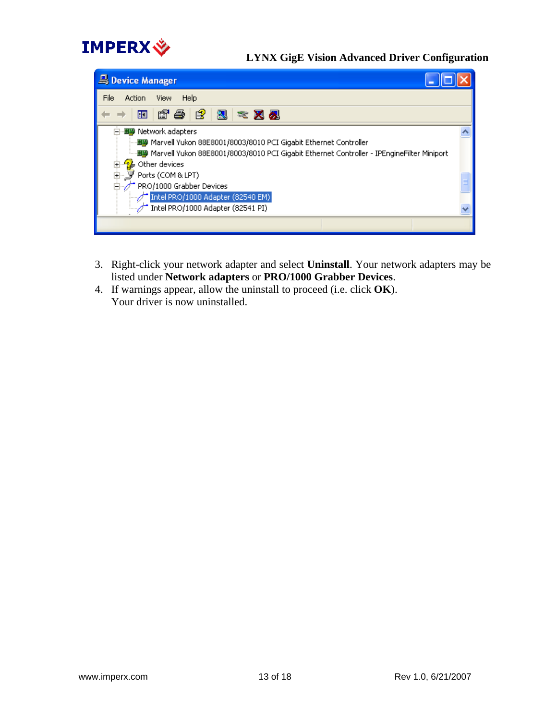



- 3. Right-click your network adapter and select **Uninstall**. Your network adapters may be listed under **Network adapters** or **PRO/1000 Grabber Devices**.
- 4. If warnings appear, allow the uninstall to proceed (i.e. click **OK**). Your driver is now uninstalled.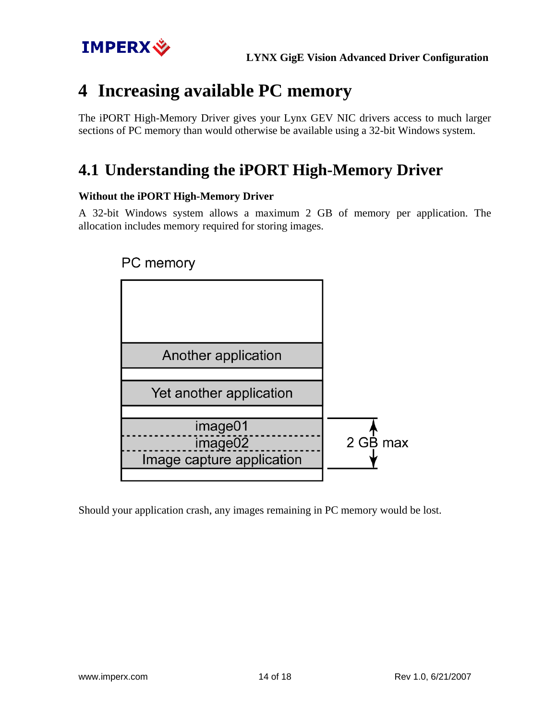<span id="page-13-0"></span>

## **4 Increasing available PC memory**

The iPORT High-Memory Driver gives your Lynx GEV NIC drivers access to much larger sections of PC memory than would otherwise be available using a 32-bit Windows system.

## **4.1 Understanding the iPORT High-Memory Driver**

#### **Without the iPORT High-Memory Driver**

A 32-bit Windows system allows a maximum 2 GB of memory per application. The allocation includes memory required for storing images.



### PC memory

Should your application crash, any images remaining in PC memory would be lost.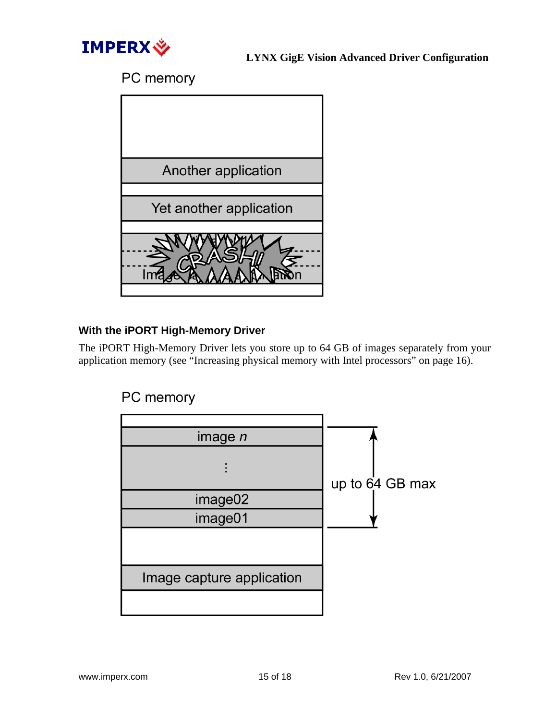

PC memory



### **With the iPORT High-Memory Driver**

The iPORT High-Memory Driver lets you store up to 64 GB of images separately from your application memory (see "Increasing physical memory with Intel processors" on page 16).



### PC memory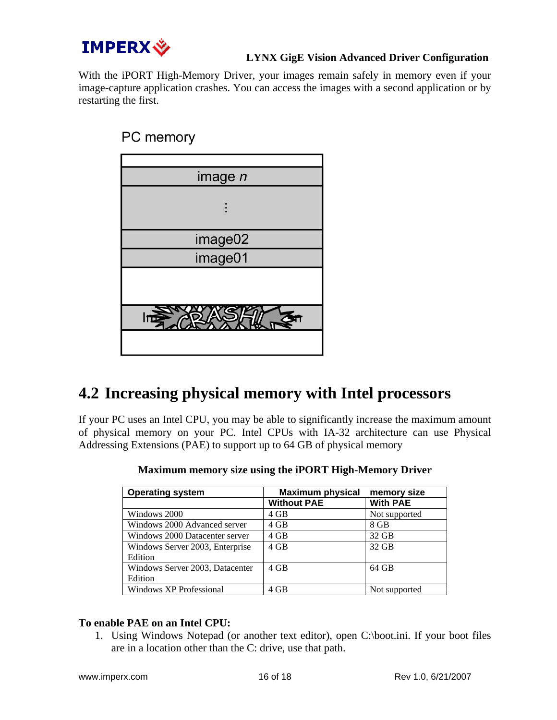<span id="page-15-0"></span>

With the iPORT High-Memory Driver, your images remain safely in memory even if your image-capture application crashes. You can access the images with a second application or by restarting the first.



### PC memory

### **4.2 Increasing physical memory with Intel processors**

If your PC uses an Intel CPU, you may be able to significantly increase the maximum amount of physical memory on your PC. Intel CPUs with IA-32 architecture can use Physical Addressing Extensions (PAE) to support up to 64 GB of physical memory

| <b>Operating system</b>         | <b>Maximum physical</b> | memory size     |  |
|---------------------------------|-------------------------|-----------------|--|
|                                 | <b>Without PAE</b>      | <b>With PAE</b> |  |
| Windows 2000                    | 4 GB                    | Not supported   |  |
| Windows 2000 Advanced server    | $4$ GB                  | 8 GB            |  |
| Windows 2000 Datacenter server  | $4$ GB                  | 32 GB           |  |
| Windows Server 2003, Enterprise | $4$ GB                  | 32 GB           |  |
| Edition                         |                         |                 |  |
| Windows Server 2003, Datacenter | $4$ GB                  | 64 GB           |  |
| Edition                         |                         |                 |  |
| Windows XP Professional         | 4 GB                    | Not supported   |  |

**Maximum memory size using the iPORT High-Memory Driver** 

#### **To enable PAE on an Intel CPU:**

1. Using Windows Notepad (or another text editor), open C:\boot.ini. If your boot files are in a location other than the C: drive, use that path.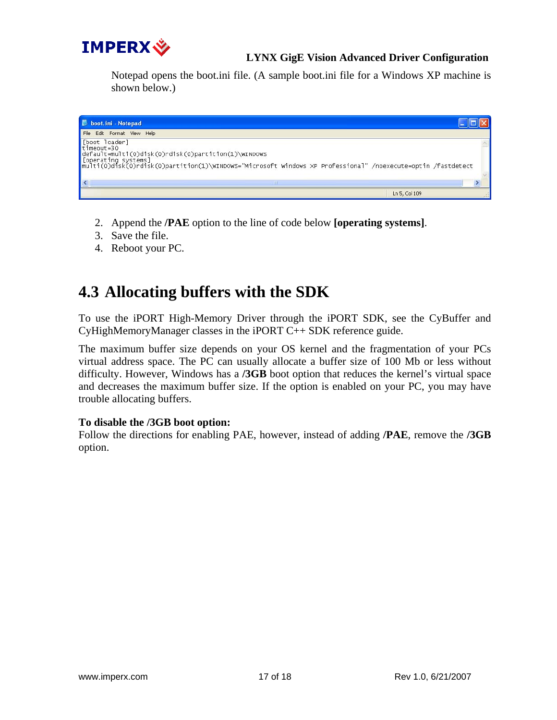<span id="page-16-0"></span>

Notepad opens the boot.ini file. (A sample boot.ini file for a Windows XP machine is shown below.)



- 2. Append the **/PAE** option to the line of code below **[operating systems]**.
- 3. Save the file.
- 4. Reboot your PC.

## **4.3 Allocating buffers with the SDK**

To use the iPORT High-Memory Driver through the iPORT SDK, see the CyBuffer and CyHighMemoryManager classes in the iPORT C++ SDK reference guide.

The maximum buffer size depends on your OS kernel and the fragmentation of your PCs virtual address space. The PC can usually allocate a buffer size of 100 Mb or less without difficulty. However, Windows has a **/3GB** boot option that reduces the kernel's virtual space and decreases the maximum buffer size. If the option is enabled on your PC, you may have trouble allocating buffers.

#### **To disable the /3GB boot option:**

Follow the directions for enabling PAE, however, instead of adding **/PAE**, remove the **/3GB** option.